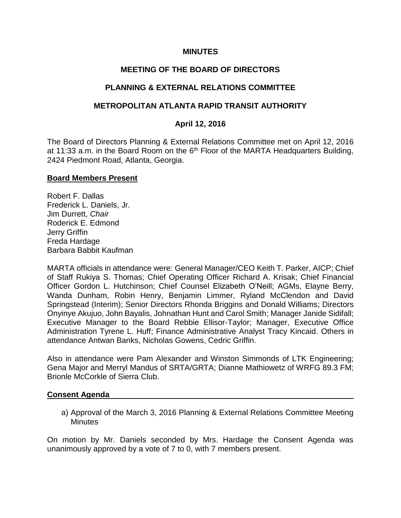## **MINUTES**

## **MEETING OF THE BOARD OF DIRECTORS**

## **PLANNING & EXTERNAL RELATIONS COMMITTEE**

## **METROPOLITAN ATLANTA RAPID TRANSIT AUTHORITY**

## **April 12, 2016**

The Board of Directors Planning & External Relations Committee met on April 12, 2016 at 11:33 a.m. in the Board Room on the  $6<sup>th</sup>$  Floor of the MARTA Headquarters Building, 2424 Piedmont Road, Atlanta, Georgia.

#### **Board Members Present**

Robert F. Dallas Frederick L. Daniels, Jr. Jim Durrett, *Chair* Roderick E. Edmond Jerry Griffin Freda Hardage Barbara Babbit Kaufman

MARTA officials in attendance were: General Manager/CEO Keith T. Parker, AICP; Chief of Staff Rukiya S. Thomas; Chief Operating Officer Richard A. Krisak; Chief Financial Officer Gordon L. Hutchinson; Chief Counsel Elizabeth O'Neill; AGMs, Elayne Berry, Wanda Dunham, Robin Henry, Benjamin Limmer, Ryland McClendon and David Springstead (Interim); Senior Directors Rhonda Briggins and Donald Williams; Directors Onyinye Akujuo, John Bayalis, Johnathan Hunt and Carol Smith; Manager Janide Sidifall; Executive Manager to the Board Rebbie Ellisor-Taylor; Manager, Executive Office Administration Tyrene L. Huff; Finance Administrative Analyst Tracy Kincaid. Others in attendance Antwan Banks, Nicholas Gowens, Cedric Griffin.

Also in attendance were Pam Alexander and Winston Simmonds of LTK Engineering; Gena Major and Merryl Mandus of SRTA/GRTA; Dianne Mathiowetz of WRFG 89.3 FM; Brionle McCorkle of Sierra Club.

#### **Consent Agenda**

a) Approval of the March 3, 2016 Planning & External Relations Committee Meeting **Minutes** 

On motion by Mr. Daniels seconded by Mrs. Hardage the Consent Agenda was unanimously approved by a vote of 7 to 0, with 7 members present.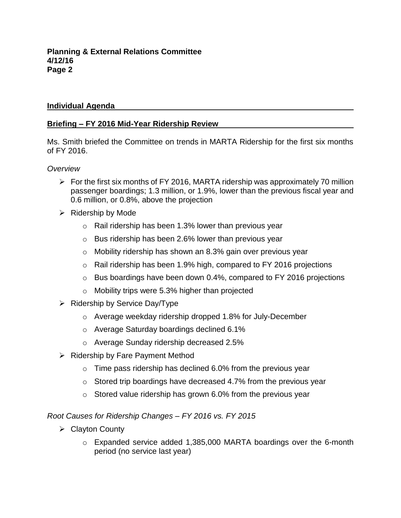## **Individual Agenda**

# **Briefing – FY 2016 Mid-Year Ridership Review**

Ms. Smith briefed the Committee on trends in MARTA Ridership for the first six months of FY 2016.

### *Overview*

- $\triangleright$  For the first six months of FY 2016, MARTA ridership was approximately 70 million passenger boardings; 1.3 million, or 1.9%, lower than the previous fiscal year and 0.6 million, or 0.8%, above the projection
- $\triangleright$  Ridership by Mode
	- o Rail ridership has been 1.3% lower than previous year
	- $\circ$  Bus ridership has been 2.6% lower than previous year
	- o Mobility ridership has shown an 8.3% gain over previous year
	- o Rail ridership has been 1.9% high, compared to FY 2016 projections
	- $\circ$  Bus boardings have been down 0.4%, compared to FY 2016 projections
	- o Mobility trips were 5.3% higher than projected
- $\triangleright$  Ridership by Service Day/Type
	- o Average weekday ridership dropped 1.8% for July-December
	- o Average Saturday boardings declined 6.1%
	- o Average Sunday ridership decreased 2.5%
- $\triangleright$  Ridership by Fare Payment Method
	- $\circ$  Time pass ridership has declined 6.0% from the previous year
	- o Stored trip boardings have decreased 4.7% from the previous year
	- $\circ$  Stored value ridership has grown 6.0% from the previous year

*Root Causes for Ridership Changes – FY 2016 vs. FY 2015*

- $\triangleright$  Clayton County
	- o Expanded service added 1,385,000 MARTA boardings over the 6-month period (no service last year)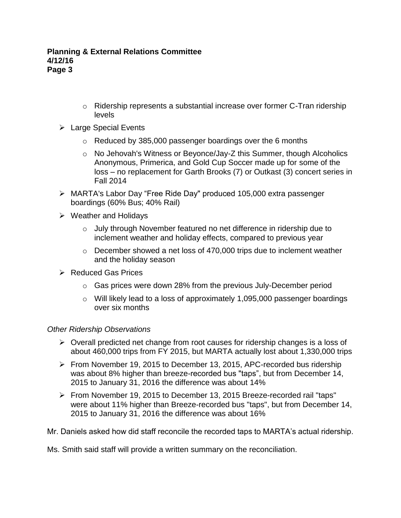- $\circ$  Ridership represents a substantial increase over former C-Tran ridership levels
- Large Special Events
	- o Reduced by 385,000 passenger boardings over the 6 months
	- o No Jehovah's Witness or Beyonce/Jay-Z this Summer, though Alcoholics Anonymous, Primerica, and Gold Cup Soccer made up for some of the loss – no replacement for Garth Brooks (7) or Outkast (3) concert series in Fall 2014
- MARTA's Labor Day "Free Ride Day" produced 105,000 extra passenger boardings (60% Bus; 40% Rail)
- $\triangleright$  Weather and Holidays
	- $\circ$  July through November featured no net difference in ridership due to inclement weather and holiday effects, compared to previous year
	- $\circ$  December showed a net loss of 470,000 trips due to inclement weather and the holiday season
- $\triangleright$  Reduced Gas Prices
	- $\circ$  Gas prices were down 28% from the previous July-December period
	- o Will likely lead to a loss of approximately 1,095,000 passenger boardings over six months

# *Other Ridership Observations*

- $\triangleright$  Overall predicted net change from root causes for ridership changes is a loss of about 460,000 trips from FY 2015, but MARTA actually lost about 1,330,000 trips
- From November 19, 2015 to December 13, 2015, APC-recorded bus ridership was about 8% higher than breeze-recorded bus "taps", but from December 14, 2015 to January 31, 2016 the difference was about 14%
- From November 19, 2015 to December 13, 2015 Breeze-recorded rail "taps" were about 11% higher than Breeze-recorded bus "taps", but from December 14, 2015 to January 31, 2016 the difference was about 16%

Mr. Daniels asked how did staff reconcile the recorded taps to MARTA's actual ridership.

Ms. Smith said staff will provide a written summary on the reconciliation.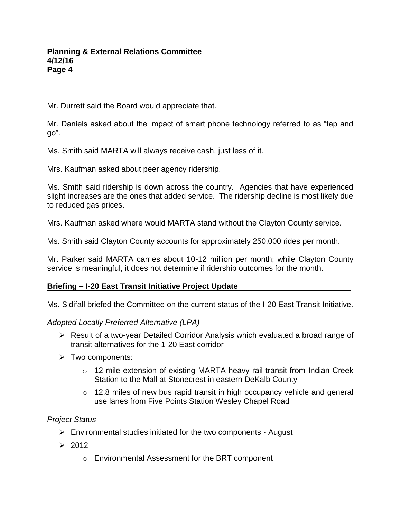Mr. Durrett said the Board would appreciate that.

Mr. Daniels asked about the impact of smart phone technology referred to as "tap and go".

Ms. Smith said MARTA will always receive cash, just less of it.

Mrs. Kaufman asked about peer agency ridership.

Ms. Smith said ridership is down across the country. Agencies that have experienced slight increases are the ones that added service. The ridership decline is most likely due to reduced gas prices.

Mrs. Kaufman asked where would MARTA stand without the Clayton County service.

Ms. Smith said Clayton County accounts for approximately 250,000 rides per month.

Mr. Parker said MARTA carries about 10-12 million per month; while Clayton County service is meaningful, it does not determine if ridership outcomes for the month.

# **Briefing – I-20 East Transit Initiative Project Update**

Ms. Sidifall briefed the Committee on the current status of the I-20 East Transit Initiative.

*Adopted Locally Preferred Alternative (LPA)*

- Result of a two-year Detailed Corridor Analysis which evaluated a broad range of transit alternatives for the 1-20 East corridor
- $\triangleright$  Two components:
	- o 12 mile extension of existing MARTA heavy rail transit from Indian Creek Station to the Mall at Stonecrest in eastern DeKalb County
	- $\circ$  12.8 miles of new bus rapid transit in high occupancy vehicle and general use lanes from Five Points Station Wesley Chapel Road

# *Project Status*

- $\triangleright$  Environmental studies initiated for the two components August
- $\geq 2012$ 
	- o Environmental Assessment for the BRT component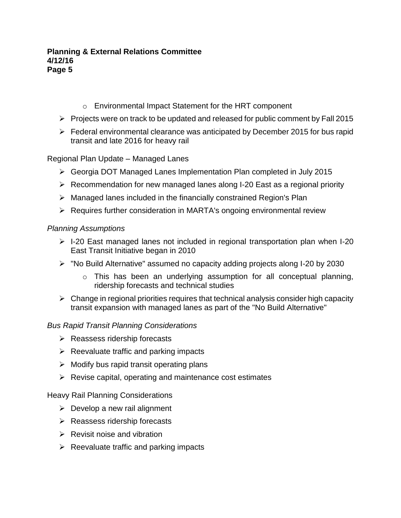- o Environmental Impact Statement for the HRT component
- $\triangleright$  Projects were on track to be updated and released for public comment by Fall 2015
- Federal environmental clearance was anticipated by December 2015 for bus rapid transit and late 2016 for heavy rail

## Regional Plan Update – Managed Lanes

- Georgia DOT Managed Lanes Implementation Plan completed in July 2015
- $\triangleright$  Recommendation for new managed lanes along I-20 East as a regional priority
- $\triangleright$  Managed lanes included in the financially constrained Region's Plan
- $\triangleright$  Requires further consideration in MARTA's ongoing environmental review

## *Planning Assumptions*

- $\triangleright$  I-20 East managed lanes not included in regional transportation plan when I-20 East Transit Initiative began in 2010
- "No Build Alternative" assumed no capacity adding projects along I-20 by 2030
	- o This has been an underlying assumption for all conceptual planning, ridership forecasts and technical studies
- $\triangleright$  Change in regional priorities requires that technical analysis consider high capacity transit expansion with managed lanes as part of the "No Build Alternative"

## *Bus Rapid Transit Planning Considerations*

- $\triangleright$  Reassess ridership forecasts
- $\triangleright$  Reevaluate traffic and parking impacts
- $\triangleright$  Modify bus rapid transit operating plans
- $\triangleright$  Revise capital, operating and maintenance cost estimates

## Heavy Rail Planning Considerations

- $\triangleright$  Develop a new rail alignment
- $\triangleright$  Reassess ridership forecasts
- $\triangleright$  Revisit noise and vibration
- $\triangleright$  Reevaluate traffic and parking impacts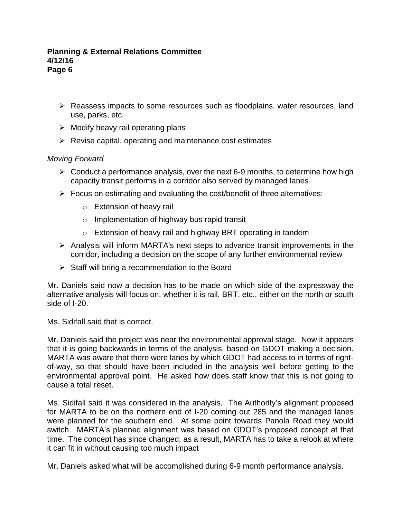- $\triangleright$  Reassess impacts to some resources such as floodplains, water resources, land use, parks, etc.
- $\triangleright$  Modify heavy rail operating plans
- $\triangleright$  Revise capital, operating and maintenance cost estimates

## *Moving Forward*

- $\triangleright$  Conduct a performance analysis, over the next 6-9 months, to determine how high capacity transit performs in a corridor also served by managed lanes
- $\triangleright$  Focus on estimating and evaluating the cost/benefit of three alternatives:
	- o Extension of heavy rail
	- o Implementation of highway bus rapid transit
	- o Extension of heavy rail and highway BRT operating in tandem
- $\triangleright$  Analysis will inform MARTA's next steps to advance transit improvements in the corridor, including a decision on the scope of any further environmental review
- $\triangleright$  Staff will bring a recommendation to the Board

Mr. Daniels said now a decision has to be made on which side of the expressway the alternative analysis will focus on, whether it is rail, BRT, etc., either on the north or south side of I-20.

Ms. Sidifall said that is correct.

Mr. Daniels said the project was near the environmental approval stage. Now it appears that it is going backwards in terms of the analysis, based on GDOT making a decision. MARTA was aware that there were lanes by which GDOT had access to in terms of rightof-way, so that should have been included in the analysis well before getting to the environmental approval point. He asked how does staff know that this is not going to cause a total reset.

Ms. Sidifall said it was considered in the analysis. The Authority's alignment proposed for MARTA to be on the northern end of I-20 coming out 285 and the managed lanes were planned for the southern end. At some point towards Panola Road they would switch. MARTA's planned alignment was based on GDOT's proposed concept at that time. The concept has since changed; as a result, MARTA has to take a relook at where it can fit in without causing too much impact

Mr. Daniels asked what will be accomplished during 6-9 month performance analysis.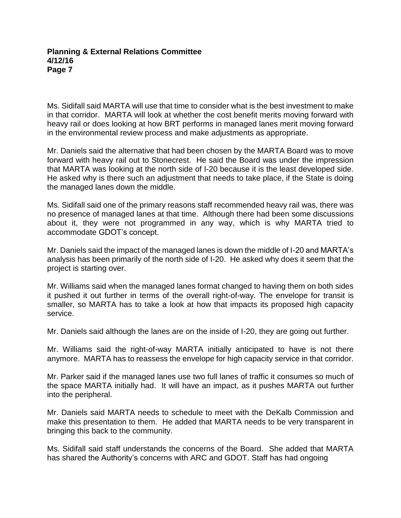Ms. Sidifall said MARTA will use that time to consider what is the best investment to make in that corridor. MARTA will look at whether the cost benefit merits moving forward with heavy rail or does looking at how BRT performs in managed lanes merit moving forward in the environmental review process and make adjustments as appropriate.

Mr. Daniels said the alternative that had been chosen by the MARTA Board was to move forward with heavy rail out to Stonecrest. He said the Board was under the impression that MARTA was looking at the north side of I-20 because it is the least developed side. He asked why is there such an adjustment that needs to take place, if the State is doing the managed lanes down the middle.

Ms. Sidifall said one of the primary reasons staff recommended heavy rail was, there was no presence of managed lanes at that time. Although there had been some discussions about it, they were not programmed in any way, which is why MARTA tried to accommodate GDOT's concept.

Mr. Daniels said the impact of the managed lanes is down the middle of I-20 and MARTA's analysis has been primarily of the north side of I-20. He asked why does it seem that the project is starting over.

Mr. Williams said when the managed lanes format changed to having them on both sides it pushed it out further in terms of the overall right-of-way. The envelope for transit is smaller, so MARTA has to take a look at how that impacts its proposed high capacity service.

Mr. Daniels said although the lanes are on the inside of I-20, they are going out further.

Mr. Williams said the right-of-way MARTA initially anticipated to have is not there anymore. MARTA has to reassess the envelope for high capacity service in that corridor.

Mr. Parker said if the managed lanes use two full lanes of traffic it consumes so much of the space MARTA initially had. It will have an impact, as it pushes MARTA out further into the peripheral.

Mr. Daniels said MARTA needs to schedule to meet with the DeKalb Commission and make this presentation to them. He added that MARTA needs to be very transparent in bringing this back to the community.

Ms. Sidifall said staff understands the concerns of the Board. She added that MARTA has shared the Authority's concerns with ARC and GDOT. Staff has had ongoing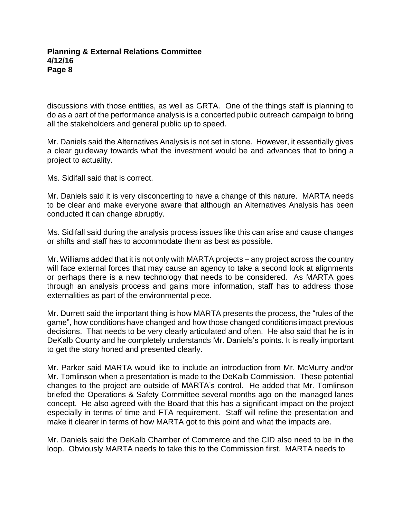discussions with those entities, as well as GRTA. One of the things staff is planning to do as a part of the performance analysis is a concerted public outreach campaign to bring all the stakeholders and general public up to speed.

Mr. Daniels said the Alternatives Analysis is not set in stone. However, it essentially gives a clear guideway towards what the investment would be and advances that to bring a project to actuality.

Ms. Sidifall said that is correct.

Mr. Daniels said it is very disconcerting to have a change of this nature. MARTA needs to be clear and make everyone aware that although an Alternatives Analysis has been conducted it can change abruptly.

Ms. Sidifall said during the analysis process issues like this can arise and cause changes or shifts and staff has to accommodate them as best as possible.

Mr. Williams added that it is not only with MARTA projects – any project across the country will face external forces that may cause an agency to take a second look at alignments or perhaps there is a new technology that needs to be considered. As MARTA goes through an analysis process and gains more information, staff has to address those externalities as part of the environmental piece.

Mr. Durrett said the important thing is how MARTA presents the process, the "rules of the game", how conditions have changed and how those changed conditions impact previous decisions. That needs to be very clearly articulated and often. He also said that he is in DeKalb County and he completely understands Mr. Daniels's points. It is really important to get the story honed and presented clearly.

Mr. Parker said MARTA would like to include an introduction from Mr. McMurry and/or Mr. Tomlinson when a presentation is made to the DeKalb Commission. These potential changes to the project are outside of MARTA's control. He added that Mr. Tomlinson briefed the Operations & Safety Committee several months ago on the managed lanes concept. He also agreed with the Board that this has a significant impact on the project especially in terms of time and FTA requirement. Staff will refine the presentation and make it clearer in terms of how MARTA got to this point and what the impacts are.

Mr. Daniels said the DeKalb Chamber of Commerce and the CID also need to be in the loop. Obviously MARTA needs to take this to the Commission first. MARTA needs to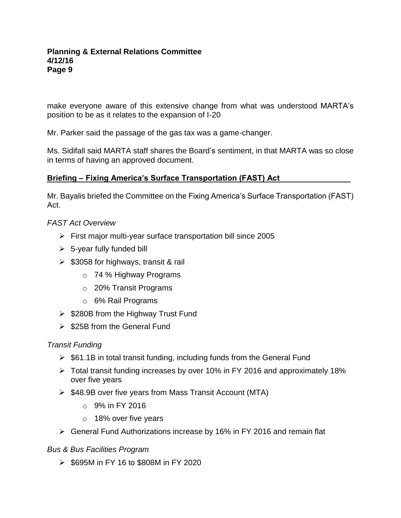make everyone aware of this extensive change from what was understood MARTA's position to be as it relates to the expansion of I-20

Mr. Parker said the passage of the gas tax was a game-changer.

Ms. Sidifall said MARTA staff shares the Board's sentiment, in that MARTA was so close in terms of having an approved document.

# **Briefing – Fixing America's Surface Transportation (FAST) Act**

Mr. Bayalis briefed the Committee on the Fixing America's Surface Transportation (FAST) Act.

## *FAST Act Overview*

- $\triangleright$  First major multi-year surface transportation bill since 2005
- $\geq$  5-year fully funded bill
- $\geq$  \$3058 for highways, transit & rail
	- o 74 % Highway Programs
	- o 20% Transit Programs
	- o 6% Rail Programs
- $\geq$  \$280B from the Highway Trust Fund
- $\geq$  \$25B from the General Fund

## *Transit Funding*

- $\triangleright$  \$61.1B in total transit funding, including funds from the General Fund
- Total transit funding increases by over 10% in FY 2016 and approximately 18% over five years
- $\triangleright$  \$48.9B over five years from Mass Transit Account (MTA)
	- $\circ$  9% in FY 2016
	- o 18% over five years
- General Fund Authorizations increase by 16% in FY 2016 and remain flat

## *Bus & Bus Facilities Program*

 $\geq$  \$695M in FY 16 to \$808M in FY 2020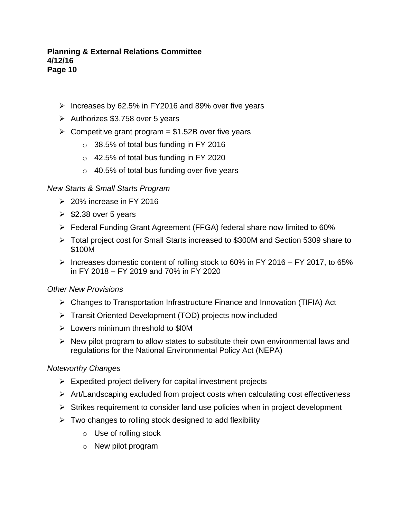- $\triangleright$  Increases by 62.5% in FY2016 and 89% over five years
- $\geq$  Authorizes \$3.758 over 5 years
- $\geq$  Competitive grant program = \$1.52B over five years
	- $\circ$  38.5% of total bus funding in FY 2016
	- o 42.5% of total bus funding in FY 2020
	- $\circ$  40.5% of total bus funding over five years

## *New Starts & Small Starts Program*

- $\geq$  20% increase in FY 2016
- $\geqslant$  \$2.38 over 5 years
- Federal Funding Grant Agreement (FFGA) federal share now limited to 60%
- Total project cost for Small Starts increased to \$300M and Section 5309 share to \$100M
- $\triangleright$  Increases domestic content of rolling stock to 60% in FY 2016 FY 2017, to 65% in FY 2018 – FY 2019 and 70% in FY 2020

## *Other New Provisions*

- Changes to Transportation Infrastructure Finance and Innovation (TIFIA) Act
- Transit Oriented Development (TOD) projects now included
- $\triangleright$  Lowers minimum threshold to \$10M
- $\triangleright$  New pilot program to allow states to substitute their own environmental laws and regulations for the National Environmental Policy Act (NEPA)

## *Noteworthy Changes*

- $\triangleright$  Expedited project delivery for capital investment projects
- $\triangleright$  Art/Landscaping excluded from project costs when calculating cost effectiveness
- $\triangleright$  Strikes requirement to consider land use policies when in project development
- $\triangleright$  Two changes to rolling stock designed to add flexibility
	- o Use of rolling stock
	- o New pilot program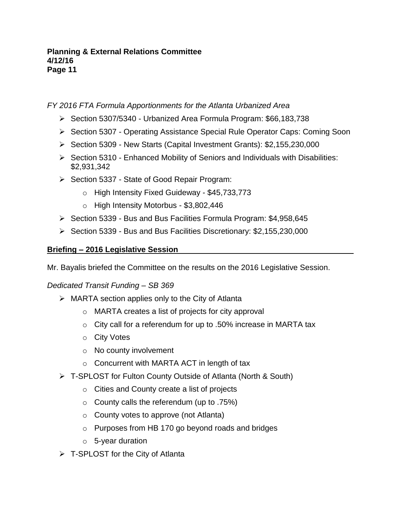# *FY 2016 FTA Formula Apportionments for the Atlanta Urbanized Area*

- Section 5307/5340 Urbanized Area Formula Program: \$66,183,738
- ▶ Section 5307 Operating Assistance Special Rule Operator Caps: Coming Soon
- $\triangleright$  Section 5309 New Starts (Capital Investment Grants): \$2,155,230,000
- $\triangleright$  Section 5310 Enhanced Mobility of Seniors and Individuals with Disabilities: \$2,931,342
- $\triangleright$  Section 5337 State of Good Repair Program:
	- o High Intensity Fixed Guideway \$45,733,773
	- o High Intensity Motorbus \$3,802,446
- $\triangleright$  Section 5339 Bus and Bus Facilities Formula Program: \$4,958,645
- $\triangleright$  Section 5339 Bus and Bus Facilities Discretionary: \$2,155,230,000

# **Briefing – 2016 Legislative Session**

Mr. Bayalis briefed the Committee on the results on the 2016 Legislative Session.

*Dedicated Transit Funding – SB 369*

- $\triangleright$  MARTA section applies only to the City of Atlanta
	- o MARTA creates a list of projects for city approval
	- o City call for a referendum for up to .50% increase in MARTA tax
	- o City Votes
	- o No county involvement
	- o Concurrent with MARTA ACT in length of tax
- T-SPLOST for Fulton County Outside of Atlanta (North & South)
	- o Cities and County create a list of projects
	- $\circ$  County calls the referendum (up to .75%)
	- o County votes to approve (not Atlanta)
	- o Purposes from HB 170 go beyond roads and bridges
	- o 5-year duration
- $\triangleright$  T-SPLOST for the City of Atlanta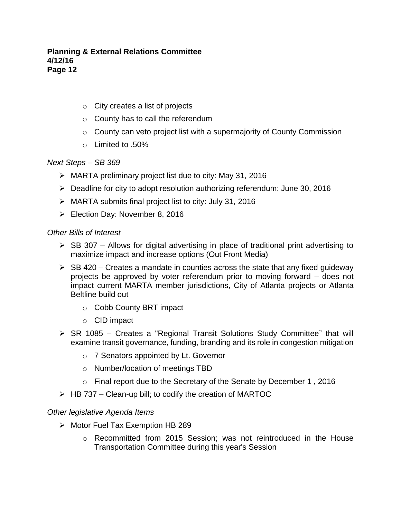- $\circ$  City creates a list of projects
- o County has to call the referendum
- o County can veto project list with a supermajority of County Commission
- o Limited to .50%

### *Next Steps – SB 369*

- MARTA preliminary project list due to city: May 31, 2016
- $\triangleright$  Deadline for city to adopt resolution authorizing referendum: June 30, 2016
- MARTA submits final project list to city: July 31, 2016
- Election Day: November 8, 2016

### *Other Bills of Interest*

- $\triangleright$  SB 307 Allows for digital advertising in place of traditional print advertising to maximize impact and increase options (Out Front Media)
- $\triangleright$  SB 420 Creates a mandate in counties across the state that any fixed guideway projects be approved by voter referendum prior to moving forward – does not impact current MARTA member jurisdictions, City of Atlanta projects or Atlanta Beltline build out
	- o Cobb County BRT impact
	- o CID impact
- $\triangleright$  SR 1085 Creates a "Regional Transit Solutions Study Committee" that will examine transit governance, funding, branding and its role in congestion mitigation
	- o 7 Senators appointed by Lt. Governor
	- o Number/location of meetings TBD
	- $\circ$  Final report due to the Secretary of the Senate by December 1, 2016
- $\triangleright$  HB 737 Clean-up bill; to codify the creation of MARTOC

## *Other legislative Agenda Items*

- $\triangleright$  Motor Fuel Tax Exemption HB 289
	- $\circ$  Recommitted from 2015 Session; was not reintroduced in the House Transportation Committee during this year's Session